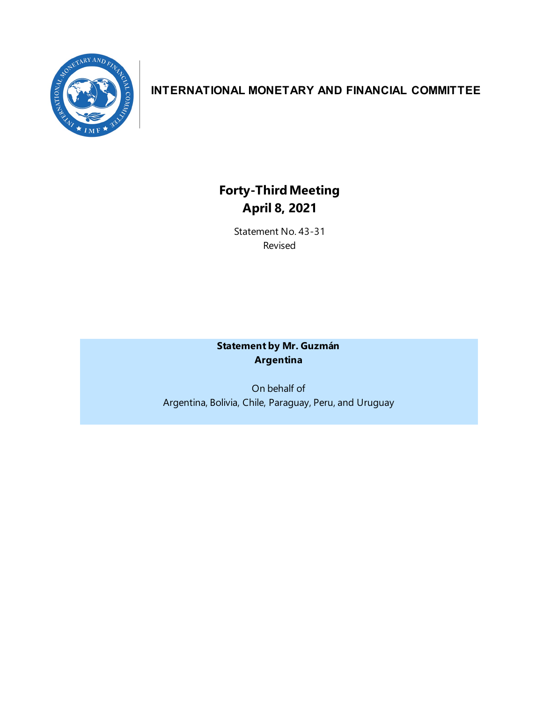

# **INTERNATIONAL MONETARY AND FINANCIAL COMMITTEE**

# **Forty-ThirdMeeting April 8, 2021**

Statement No. 43-31 Revised

# **Statement by Mr. Guzmán Argentina**

On behalf of Argentina, Bolivia, Chile, Paraguay, Peru, and Uruguay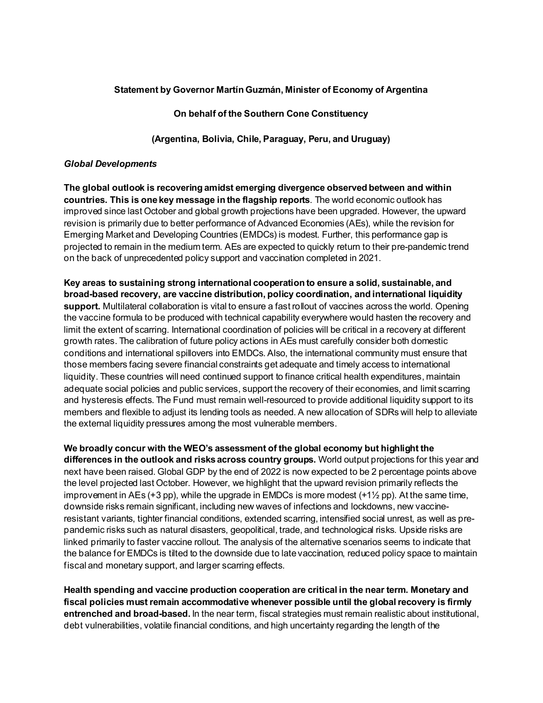# **Statement by Governor Martín Guzmán, Minister of Economy of Argentina**

**On behalf of the Southern Cone Constituency**

**(Argentina, Bolivia, Chile, Paraguay, Peru, and Uruguay)**

#### *Global Developments*

**The global outlook is recovering amidst emerging divergence observed between and within countries. This is one key message in the flagship reports**. The world economic outlook has improved since last October and global growth projections have been upgraded. However, the upward revision is primarily due to better performance of Advanced Economies (AEs), while the revision for Emerging Market and Developing Countries (EMDCs) is modest. Further, this performance gap is projected to remain in the medium term. AEs are expected to quickly return to their pre-pandemic trend on the back of unprecedented policy support and vaccination completed in 2021.

**Key areas to sustaining strong international cooperation to ensure a solid, sustainable, and broad-based recovery, are vaccine distribution, policy coordination, and international liquidity support.** Multilateral collaboration is vital to ensure a fast rollout of vaccines across the world. Opening the vaccine formula to be produced with technical capability everywhere would hasten the recovery and limit the extent of scarring. International coordination of policies will be critical in a recovery at different growth rates. The calibration of future policy actions in AEs must carefully consider both domestic conditions and international spillovers into EMDCs. Also, the international community must ensure that those members facing severe financial constraints get adequate and timely access to international liquidity. These countries will need continued support to finance critical health expenditures, maintain adequate social policies and public services, support the recovery of their economies, and limit scarring and hysteresis effects. The Fund must remain well-resourced to provide additional liquidity support to its members and flexible to adjust its lending tools as needed. A new allocation of SDRs will help to alleviate the external liquidity pressures among the most vulnerable members.

**We broadly concur with the WEO's assessment of the global economy but highlight the differences in the outlook and risks across country groups.** World output projections for this year and next have been raised. Global GDP by the end of 2022 is now expected to be 2 percentage points above the level projected last October. However, we highlight that the upward revision primarily reflects the improvement in AEs  $(+3 \text{ pp})$ , while the upgrade in EMDCs is more modest  $(+1\frac{1}{2} \text{ pp})$ . At the same time, downside risks remain significant, including new waves of infections and lockdowns, new vaccineresistant variants, tighter financial conditions, extended scarring, intensified social unrest, as well as prepandemic risks such as natural disasters, geopolitical, trade, and technological risks. Upside risks are linked primarily to faster vaccine rollout. The analysis of the alternative scenarios seems to indicate that the balance for EMDCs is tilted to the downside due to late vaccination, reduced policy space to maintain fiscal and monetary support, and larger scarring effects.

**Health spending and vaccine production cooperation are critical in the near term. Monetary and fiscal policies must remain accommodative whenever possible until the global recovery is firmly entrenched and broad-based.** In the near term, fiscal strategies must remain realistic about institutional, debt vulnerabilities, volatile financial conditions, and high uncertainty regarding the length of the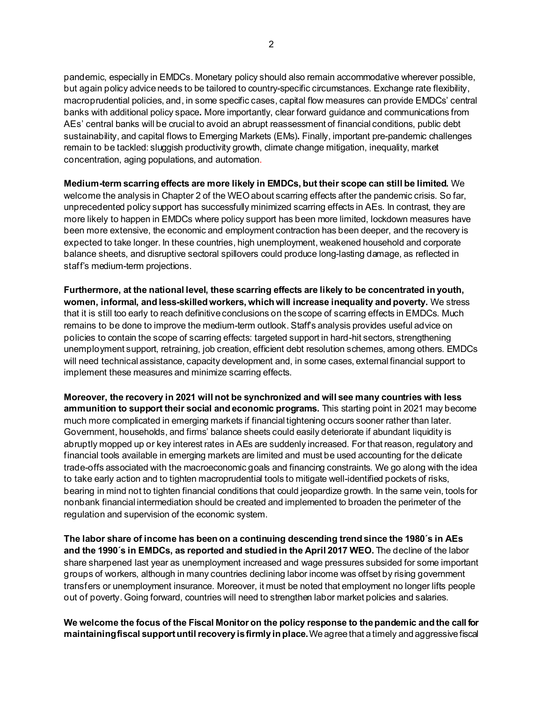pandemic, especially in EMDCs. Monetary policy should also remain accommodative wherever possible, but again policy advice needs to be tailored to country-specific circumstances. Exchange rate flexibility, macroprudential policies, and, in some specific cases, capital flow measures can provide EMDCs' central banks with additional policy space**.** More importantly, clear forward guidance and communications from AEs' central banks will be crucial to avoid an abrupt reassessment of financial conditions, public debt sustainability, and capital flows to Emerging Markets (EMs)**.** Finally, important pre-pandemic challenges remain to be tackled: sluggish productivity growth, climate change mitigation, inequality, market concentration, aging populations, and automation.

**Medium-term scarring effects are more likely in EMDCs, but their scope can still be limited.** We welcome the analysis in Chapter 2 of the WEO about scarring effects after the pandemic crisis. So far, unprecedented policy support has successfully minimized scarring effects in AEs. In contrast, they are more likely to happen in EMDCs where policy support has been more limited, lockdown measures have been more extensive, the economic and employment contraction has been deeper, and the recovery is expected to take longer. In these countries, high unemployment, weakened household and corporate balance sheets, and disruptive sectoral spillovers could produce long-lasting damage, as reflected in staff's medium-term projections.

**Furthermore, at the national level, these scarring effects are likely to be concentrated in youth, women, informal, and less-skilled workers, which will increase inequality and poverty.** We stress that it is still too early to reach definitive conclusions on the scope of scarring effects in EMDCs. Much remains to be done to improve the medium-term outlook. Staff's analysis provides useful advice on policies to contain the scope of scarring effects: targeted support in hard-hit sectors, strengthening unemployment support, retraining, job creation, efficient debt resolution schemes, among others. EMDCs will need technical assistance, capacity development and, in some cases, external financial support to implement these measures and minimize scarring effects.

**Moreover, the recovery in 2021 will not be synchronized and will see many countries with less ammunition to support their social and economic programs.** This starting point in 2021 may become much more complicated in emerging markets if financial tightening occurs sooner rather than later. Government, households, and firms' balance sheets could easily deteriorate if abundant liquidity is abruptly mopped up or key interest rates in AEs are suddenly increased. For that reason, regulatory and financial tools available in emerging markets are limited and must be used accounting for the delicate trade-offs associated with the macroeconomic goals and financing constraints. We go along with the idea to take early action and to tighten macroprudential tools to mitigate well-identified pockets of risks, bearing in mind not to tighten financial conditions that could jeopardize growth. In the same vein, tools for nonbank financial intermediation should be created and implemented to broaden the perimeter of the regulation and supervision of the economic system.

**The labor share of income has been on a continuing descending trend since the 1980´s in AEs and the 1990´s in EMDCs, as reported and studied in the April 2017 WEO.** The decline of the labor share sharpened last year as unemployment increased and wage pressures subsided for some important groups of workers, although in many countries declining labor income was offset by rising government transfers or unemployment insurance. Moreover, it must be noted that employment no longer lifts people out of poverty. Going forward, countries will need to strengthen labor market policies and salaries.

**We welcome the focus of the Fiscal Monitor on the policy response to the pandemic and the call for maintaining fiscal support until recovery is firmly in place.** We agree that a timely and aggressive fiscal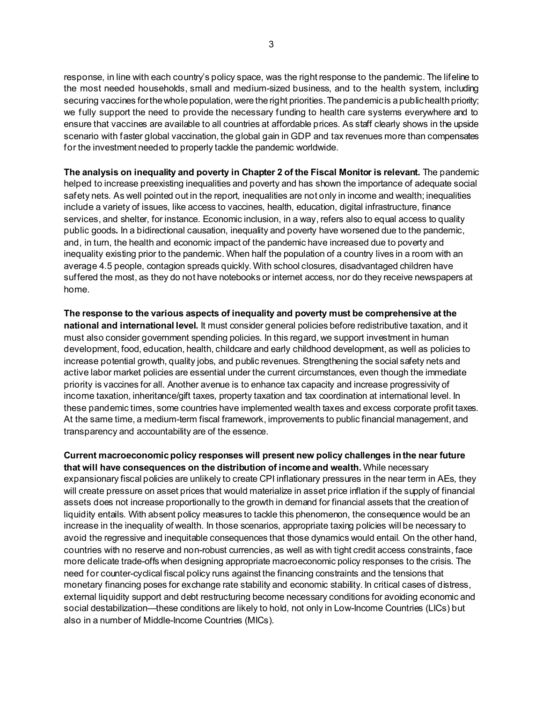response, in line with each country's policy space, was the right response to the pandemic. The lifeline to the most needed households, small and medium-sized business, and to the health system, including securing vaccines for the whole population, were the right priorities. The pandemic is a public health priority; we fully support the need to provide the necessary funding to health care systems everywhere and to ensure that vaccines are available to all countries at affordable prices. As staff clearly shows in the upside scenario with faster global vaccination, the global gain in GDP and tax revenues more than compensates for the investment needed to properly tackle the pandemic worldwide.

**The analysis on inequality and poverty in Chapter 2 of the Fiscal Monitor is relevant.** The pandemic helped to increase preexisting inequalities and poverty and has shown the importance of adequate social safety nets. As well pointed out in the report, inequalities are not only in income and wealth; inequalities include a variety of issues, like access to vaccines, health, education, digital infrastructure, finance services, and shelter, for instance. Economic inclusion, in a way, refers also to equal access to quality public goods**.** In a bidirectional causation, inequality and poverty have worsened due to the pandemic, and, in turn, the health and economic impact of the pandemic have increased due to poverty and inequality existing prior to the pandemic. When half the population of a country lives in a room with an average 4.5 people, contagion spreads quickly. With school closures, disadvantaged children have suffered the most, as they do not have notebooks or internet access, nor do they receive newspapers at home.

**The response to the various aspects of inequality and poverty must be comprehensive at the national and international level.** It must consider general policies before redistributive taxation, and it must also consider government spending policies. In this regard, we support investment in human development, food, education, health, childcare and early childhood development, as well as policies to increase potential growth, quality jobs, and public revenues. Strengthening the social safety nets and active labor market policies are essential under the current circumstances, even though the immediate priority is vaccines for all. Another avenue is to enhance tax capacity and increase progressivity of income taxation, inheritance/gift taxes, property taxation and tax coordination at international level. In these pandemic times, some countries have implemented wealth taxes and excess corporate profit taxes. At the same time, a medium-term fiscal framework, improvements to public financial management, and transparency and accountability are of the essence.

**Current macroeconomic policy responses will present new policy challenges in the near future that will have consequences on the distribution of income and wealth.** While necessary expansionary fiscal policies are unlikely to create CPI inflationary pressures in the near term in AEs, they will create pressure on asset prices that would materialize in asset price inflation if the supply of financial assets does not increase proportionally to the growth in demand for financial assets that the creation of liquidity entails. With absent policy measures to tackle this phenomenon, the consequence would be an increase in the inequality of wealth. In those scenarios, appropriate taxing policies will be necessary to avoid the regressive and inequitable consequences that those dynamics would entail. On the other hand, countries with no reserve and non-robust currencies, as well as with tight credit access constraints, face more delicate trade-offs when designing appropriate macroeconomic policy responses to the crisis. The need for counter-cyclical fiscal policy runs against the financing constraints and the tensions that monetary financing poses for exchange rate stability and economic stability. In critical cases of distress, external liquidity support and debt restructuring become necessary conditions for avoiding economic and social destabilization—these conditions are likely to hold, not only in Low-Income Countries (LICs) but also in a number of Middle-Income Countries (MICs).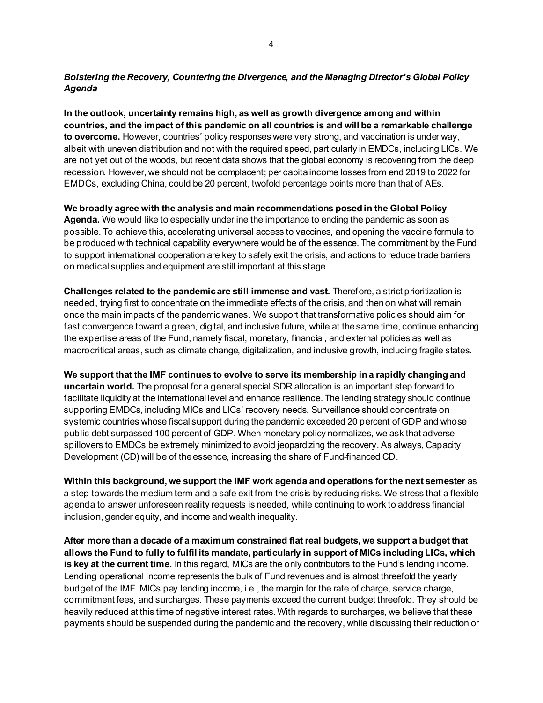# *Bolstering the Recovery, Countering the Divergence, and the Managing Director's Global Policy Agenda*

**In the outlook, uncertainty remains high, as well as growth divergence among and within countries, and the impact of this pandemic on all countries is and will be a remarkable challenge to overcome.** However, countries´ policy responses were very strong, and vaccination is under way, albeit with uneven distribution and not with the required speed, particularly in EMDCs, including LICs. We are not yet out of the woods, but recent data shows that the global economy is recovering from the deep recession. However, we should not be complacent; per capita income losses from end 2019 to 2022 for EMDCs, excluding China, could be 20 percent, twofold percentage points more than that of AEs.

**We broadly agree with the analysis and main recommendations posed in the Global Policy Agenda.** We would like to especially underline the importance to ending the pandemic as soon as possible. To achieve this, accelerating universal access to vaccines, and opening the vaccine formula to be produced with technical capability everywhere would be of the essence. The commitment by the Fund to support international cooperation are key to safely exit the crisis, and actions to reduce trade barriers on medical supplies and equipment are still important at this stage.

**Challenges related to the pandemic are still immense and vast.** Therefore, a strict prioritization is needed, trying first to concentrate on the immediate effects of the crisis, and then on what will remain once the main impacts of the pandemic wanes. We support that transformative policies should aim for fast convergence toward a green, digital, and inclusive future, while at the same time, continue enhancing the expertise areas of the Fund, namely fiscal, monetary, financial, and external policies as well as macrocritical areas, such as climate change, digitalization, and inclusive growth, including fragile states.

**We support that the IMF continues to evolve to serve its membership in a rapidly changing and uncertain world.** The proposal for a general special SDR allocation is an important step forward to facilitate liquidity at the international level and enhance resilience. The lending strategy should continue supporting EMDCs, including MICs and LICs' recovery needs. Surveillance should concentrate on systemic countries whose fiscal support during the pandemic exceeded 20 percent of GDP and whose public debt surpassed 100 percent of GDP. When monetary policy normalizes, we ask that adverse spillovers to EMDCs be extremely minimized to avoid jeopardizing the recovery. As always, Capacity Development (CD) will be of the essence, increasing the share of Fund-financed CD.

**Within this background, we support the IMF work agenda and operations for the next semester** as a step towards the medium term and a safe exit from the crisis by reducing risks. We stress that a flexible agenda to answer unforeseen reality requests is needed, while continuing to work to address financial inclusion, gender equity, and income and wealth inequality.

**After more than a decade of a maximum constrained flat real budgets, we support a budget that allows the Fund to fully to fulfil its mandate, particularly in support of MICs including LICs, which is key at the current time.** In this regard, MICs are the only contributors to the Fund's lending income. Lending operational income represents the bulk of Fund revenues and is almost threefold the yearly budget of the IMF. MICs pay lending income, i.e., the margin for the rate of charge, service charge, commitment fees, and surcharges. These payments exceed the current budget threefold. They should be heavily reduced at this time of negative interest rates. With regards to surcharges, we believe that these payments should be suspended during the pandemic and the recovery, while discussing their reduction or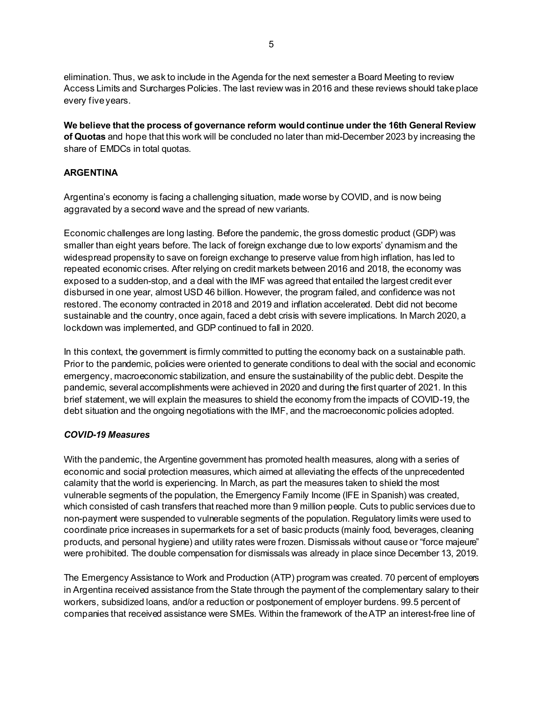elimination. Thus, we ask to include in the Agenda for the next semester a Board Meeting to review Access Limits and Surcharges Policies. The last review was in 2016 and these reviews should take place every fiveyears.

**We believe that the process of governance reform would continue under the 16th General Review of Quotas** and hope that this work will be concluded no later than mid-December 2023 by increasing the share of EMDCs in total quotas.

# **ARGENTINA**

Argentina's economy is facing a challenging situation, made worse by COVID, and is now being aggravated by a second wave and the spread of new variants.

Economic challenges are long lasting. Before the pandemic, the gross domestic product (GDP) was smaller than eight years before. The lack of foreign exchange due to low exports' dynamism and the widespread propensity to save on foreign exchange to preserve value from high inflation, has led to repeated economic crises. After relying on credit markets between 2016 and 2018, the economy was exposed to a sudden-stop, and a deal with the IMF was agreed that entailed the largest credit ever disbursed in one year, almost USD 46 billion. However, the program failed, and confidence was not restored. The economy contracted in 2018 and 2019 and inflation accelerated. Debt did not become sustainable and the country, once again, faced a debt crisis with severe implications. In March 2020, a lockdown was implemented, and GDP continued to fall in 2020.

In this context, the government is firmly committed to putting the economy back on a sustainable path. Prior to the pandemic, policies were oriented to generate conditions to deal with the social and economic emergency, macroeconomic stabilization, and ensure the sustainability of the public debt. Despite the pandemic, several accomplishments were achieved in 2020 and during the first quarter of 2021. In this brief statement, we will explain the measures to shield the economy from the impacts of COVID-19, the debt situation and the ongoing negotiations with the IMF, and the macroeconomic policies adopted.

#### *COVID-19 Measures*

With the pandemic, the Argentine government has promoted health measures, along with a series of economic and social protection measures, which aimed at alleviating the effects of the unprecedented calamity that the world is experiencing. In March, as part the measures taken to shield the most vulnerable segments of the population, the Emergency Family Income (IFE in Spanish) was created, which consisted of cash transfers that reached more than 9 million people. Cuts to public services due to non-payment were suspended to vulnerable segments of the population. Regulatory limits were used to coordinate price increases in supermarkets for a set of basic products (mainly food, beverages, cleaning products, and personal hygiene) and utility rates were frozen. Dismissals without cause or "force majeure" were prohibited. The double compensation for dismissals was already in place since December 13, 2019.

The Emergency Assistance to Work and Production (ATP) program was created. 70 percent of employers in Argentina received assistance from the State through the payment of the complementary salary to their workers, subsidized loans, and/or a reduction or postponement of employer burdens. 99.5 percent of companies that received assistance were SMEs. Within the framework of the ATP an interest-free line of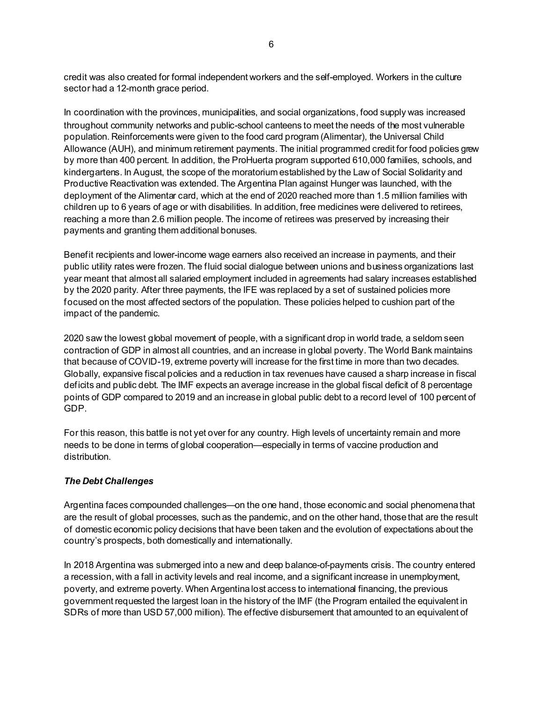credit was also created for formal independent workers and the self-employed. Workers in the culture sector had a 12-month grace period.

In coordination with the provinces, municipalities, and social organizations, food supply was increased throughout community networks and public-school canteens to meet the needs of the most vulnerable population. Reinforcements were given to the food card program (Alimentar), the Universal Child Allowance (AUH), and minimum retirement payments. The initial programmed credit for food policies grew by more than 400 percent. In addition, the ProHuerta program supported 610,000 families, schools, and kindergartens. In August, the scope of the moratorium established by the Law of Social Solidarity and Productive Reactivation was extended. The Argentina Plan against Hunger was launched, with the deployment of the Alimentar card, which at the end of 2020 reached more than 1.5 million families with children up to 6 years of age or with disabilities. In addition, free medicines were delivered to retirees, reaching a more than 2.6 million people. The income of retirees was preserved by increasing their payments and granting them additional bonuses.

Benefit recipients and lower-income wage earners also received an increase in payments, and their public utility rates were frozen. The fluid social dialogue between unions and business organizations last year meant that almost all salaried employment included in agreements had salary increases established by the 2020 parity. After three payments, the IFE was replaced by a set of sustained policies more focused on the most affected sectors of the population. These policies helped to cushion part of the impact of the pandemic.

2020 saw the lowest global movement of people, with a significant drop in world trade, a seldom seen contraction of GDP in almost all countries, and an increase in global poverty. The World Bank maintains that because of COVID-19, extreme poverty will increase for the first time in more than two decades. Globally, expansive fiscal policies and a reduction in tax revenues have caused a sharp increase in fiscal deficits and public debt. The IMF expects an average increase in the global fiscal deficit of 8 percentage points of GDP compared to 2019 and an increase in global public debt to a record level of 100 percent of GDP.

For this reason, this battle is not yet over for any country. High levels of uncertainty remain and more needs to be done in terms of global cooperation—especially in terms of vaccine production and distribution.

# *The Debt Challenges*

Argentina faces compounded challenges—on the one hand, those economic and social phenomena that are the result of global processes, such as the pandemic, and on the other hand, those that are the result of domestic economic policy decisions that have been taken and the evolution of expectations about the country's prospects, both domestically and internationally.

In 2018 Argentina was submerged into a new and deep balance-of-payments crisis. The country entered a recession, with a fall in activity levels and real income, and a significant increase in unemployment, poverty, and extreme poverty. When Argentinalost access to international financing, the previous government requested the largest loan in the history of the IMF (the Program entailed the equivalent in SDRs of more than USD 57,000 million). The effective disbursement that amounted to an equivalent of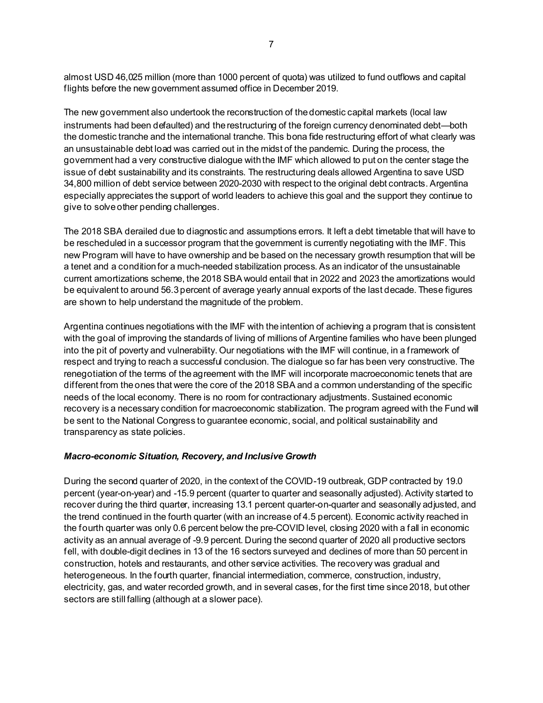almost USD 46,025 million (more than 1000 percent of quota) was utilized to fund outflows and capital flights before the new government assumed office in December 2019.

The new government also undertook the reconstruction of the domestic capital markets (local law instruments had been defaulted) and the restructuring of the foreign currency denominated debt—both the domestic tranche and the international tranche. This bona fide restructuring effort of what clearly was an unsustainable debt load was carried out in the midst of the pandemic. During the process, the government had a very constructive dialogue with the IMF which allowed to put on the center stage the issue of debt sustainability and its constraints. The restructuring deals allowed Argentina to save USD 34,800 million of debt service between 2020-2030 with respect to the original debt contracts. Argentina especially appreciates the support of world leaders to achieve this goal and the support they continue to give to solve other pending challenges.

The 2018 SBA derailed due to diagnostic and assumptions errors. It left a debt timetable that will have to be rescheduled in a successor program that the government is currently negotiating with the IMF. This new Program will have to have ownership and be based on the necessary growth resumption that will be a tenet and a condition for a much-needed stabilization process. As an indicator of the unsustainable current amortizations scheme, the 2018 SBA would entail that in 2022 and 2023 the amortizations would be equivalent to around 56.3 percent of average yearly annual exports of the last decade. These figures are shown to help understand the magnitude of the problem.

Argentina continues negotiations with the IMF with the intention of achieving a program that is consistent with the goal of improving the standards of living of millions of Argentine families who have been plunged into the pit of poverty and vulnerability. Our negotiations with the IMF will continue, in a framework of respect and trying to reach a successful conclusion. The dialogue so far has been very constructive. The renegotiation of the terms of the agreement with the IMF will incorporate macroeconomic tenets that are different from the ones that were the core of the 2018 SBA and a common understanding of the specific needs of the local economy. There is no room for contractionary adjustments. Sustained economic recovery is a necessary condition for macroeconomic stabilization. The program agreed with the Fund will be sent to the National Congress to guarantee economic, social, and political sustainability and transparency as state policies.

#### *Macro-economic Situation, Recovery, and Inclusive Growth*

During the second quarter of 2020, in the context of the COVID-19 outbreak, GDP contracted by 19.0 percent (year-on-year) and -15.9 percent (quarter to quarter and seasonally adjusted). Activity started to recover during the third quarter, increasing 13.1 percent quarter-on-quarter and seasonally adjusted, and the trend continued in the fourth quarter (with an increase of 4.5 percent). Economic activity reached in the fourth quarter was only 0.6 percent below the pre-COVID level, closing 2020 with a fall in economic activity as an annual average of -9.9 percent. During the second quarter of 2020 all productive sectors fell, with double-digit declines in 13 of the 16 sectors surveyed and declines of more than 50 percent in construction, hotels and restaurants, and other service activities. The recovery was gradual and heterogeneous. In the fourth quarter, financial intermediation, commerce, construction, industry, electricity, gas, and water recorded growth, and in several cases, for the first time since 2018, but other sectors are still falling (although at a slower pace).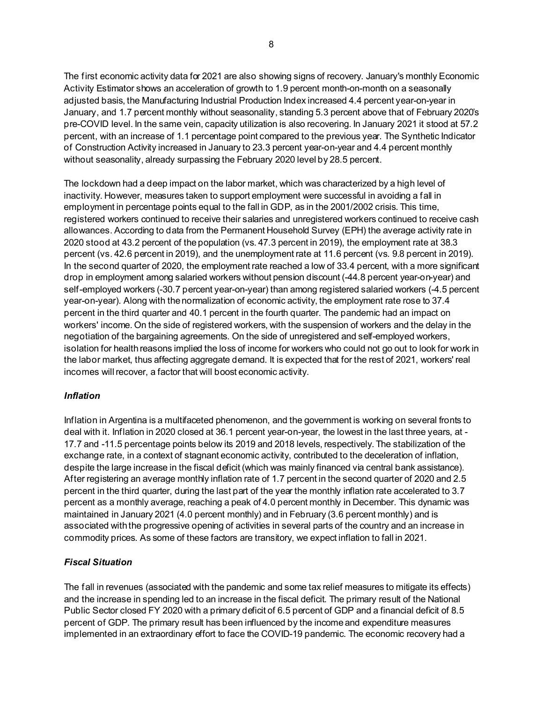The first economic activity data for 2021 are also showing signs of recovery. January's monthly Economic Activity Estimator shows an acceleration of growth to 1.9 percent month-on-month on a seasonally adjusted basis, the Manufacturing Industrial Production Index increased 4.4 percent year-on-year in January, and 1.7 percent monthly without seasonality, standing 5.3 percent above that of February 2020's pre-COVID level. In the same vein, capacity utilization is also recovering. In January 2021 it stood at 57.2 percent, with an increase of 1.1 percentage point compared to the previous year. The Synthetic Indicator of Construction Activity increased in January to 23.3 percent year-on-year and 4.4 percent monthly without seasonality, already surpassing the February 2020 level by 28.5 percent.

The lockdown had a deep impact on the labor market, which was characterized by a high level of inactivity. However, measures taken to support employment were successful in avoiding a fall in employment in percentage points equal to the fall in GDP, as in the 2001/2002 crisis. This time, registered workers continued to receive their salaries and unregistered workers continued to receive cash allowances. According to data from the Permanent Household Survey (EPH) the average activity rate in 2020 stood at 43.2 percent of the population (vs. 47.3 percent in 2019), the employment rate at 38.3 percent (vs. 42.6 percent in 2019), and the unemployment rate at 11.6 percent (vs. 9.8 percent in 2019). In the second quarter of 2020, the employment rate reached a low of 33.4 percent, with a more significant drop in employment among salaried workers without pension discount (-44.8 percent year-on-year) and self-employed workers (-30.7 percent year-on-year) than among registered salaried workers (-4.5 percent year-on-year). Along with the normalization of economic activity, the employment rate rose to 37.4 percent in the third quarter and 40.1 percent in the fourth quarter. The pandemic had an impact on workers' income. On the side of registered workers, with the suspension of workers and the delay in the negotiation of the bargaining agreements. On the side of unregistered and self-employed workers, isolation for health reasons implied the loss of income for workers who could not go out to look for work in the labor market, thus affecting aggregate demand. It is expected that for the rest of 2021, workers' real incomes will recover, a factor that will boost economic activity.

# *Inflation*

Inflation in Argentina is a multifaceted phenomenon, and the government is working on several fronts to deal with it. Inflation in 2020 closed at 36.1 percent year-on-year, the lowest in the last three years, at - 17.7 and -11.5 percentage points below its 2019 and 2018 levels, respectively. The stabilization of the exchange rate, in a context of stagnant economic activity, contributed to the deceleration of inflation, despite the large increase in the fiscal deficit (which was mainly financed via central bank assistance). After registering an average monthly inflation rate of 1.7 percent in the second quarter of 2020 and 2.5 percent in the third quarter, during the last part of the year the monthly inflation rate accelerated to 3.7 percent as a monthly average, reaching a peak of 4.0 percent monthly in December. This dynamic was maintained in January 2021 (4.0 percent monthly) and in February (3.6 percent monthly) and is associated withthe progressive opening of activities in several parts of the country and an increase in commodity prices. As some of these factors are transitory, we expect inflation to fall in 2021.

# *Fiscal Situation*

The fall in revenues (associated with the pandemic and some tax relief measures to mitigate its effects) and the increase in spending led to an increase in the fiscal deficit. The primary result of the National Public Sector closed FY 2020 with a primary deficit of 6.5 percent of GDP and a financial deficit of 8.5 percent of GDP. The primary result has been influenced by the income and expenditure measures implemented in an extraordinary effort to face the COVID-19 pandemic. The economic recovery had a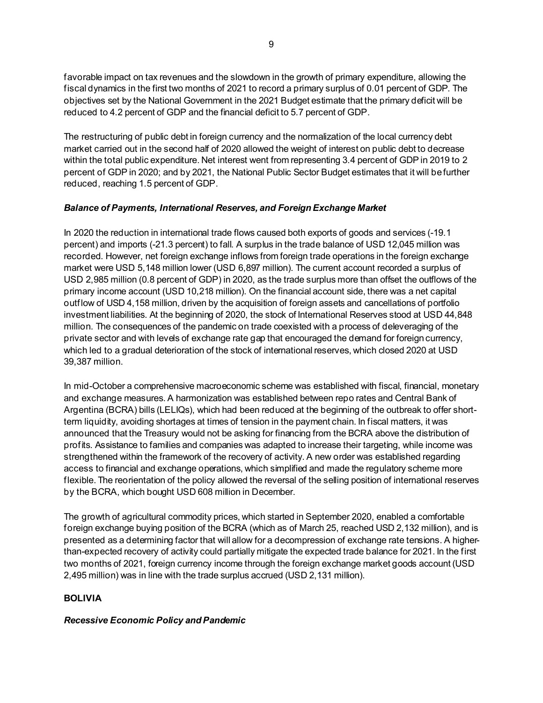favorable impact on tax revenues and the slowdown in the growth of primary expenditure, allowing the fiscal dynamics in the first two months of 2021 to record a primary surplus of 0.01 percent of GDP. The objectives set by the National Government in the 2021 Budget estimate that the primary deficit will be reduced to 4.2 percent of GDP and the financial deficit to 5.7 percent of GDP.

The restructuring of public debt in foreign currency and the normalization of the local currency debt market carried out in the second half of 2020 allowed the weight of interest on public debt to decrease within the total public expenditure. Net interest went from representing 3.4 percent of GDP in 2019 to 2 percent of GDP in 2020; and by 2021, the National Public Sector Budget estimates that it will be further reduced, reaching 1.5 percent of GDP.

# *Balance of Payments, International Reserves, and Foreign Exchange Market*

In 2020 the reduction in international trade flows caused both exports of goods and services (-19.1 percent) and imports (-21.3 percent) to fall. A surplus in the trade balance of USD 12,045 million was recorded. However, net foreign exchange inflows from foreign trade operations in the foreign exchange market were USD 5,148 million lower (USD 6,897 million). The current account recorded a surplus of USD 2,985 million (0.8 percent of GDP) in 2020, as the trade surplus more than offset the outflows of the primary income account (USD 10,218 million). On the financial account side, there was a net capital outflow of USD 4,158 million, driven by the acquisition of foreign assets and cancellations of portfolio investment liabilities. At the beginning of 2020, the stock of International Reserves stood at USD 44,848 million. The consequences of the pandemic on trade coexisted with a process of deleveraging of the private sector and with levels of exchange rate gap that encouraged the demand for foreign currency, which led to a gradual deterioration of the stock of international reserves, which closed 2020 at USD 39,387 million.

In mid-October a comprehensive macroeconomic scheme was established with fiscal, financial, monetary and exchange measures. A harmonization was established between repo rates and Central Bank of Argentina (BCRA) bills (LELIQs), which had been reduced at the beginning of the outbreak to offer shortterm liquidity, avoiding shortages at times of tension in the payment chain. In fiscal matters, it was announced that the Treasury would not be asking for financing from the BCRA above the distribution of profits. Assistance to families and companies was adapted to increase their targeting, while income was strengthened within the framework of the recovery of activity. A new order was established regarding access to financial and exchange operations, which simplified and made the regulatory scheme more flexible. The reorientation of the policy allowed the reversal of the selling position of international reserves by the BCRA, which bought USD 608 million in December.

The growth of agricultural commodity prices, which started in September 2020, enabled a comfortable foreign exchange buying position of the BCRA (which as of March 25, reached USD 2,132 million), and is presented as a determining factor that will allow for a decompression of exchange rate tensions. A higherthan-expected recovery of activity could partially mitigate the expected trade balance for 2021. In the first two months of 2021, foreign currency income through the foreign exchange market goods account (USD 2,495 million) was in line with the trade surplus accrued (USD 2,131 million).

# **BOLIVIA**

# *Recessive Economic Policy and Pandemic*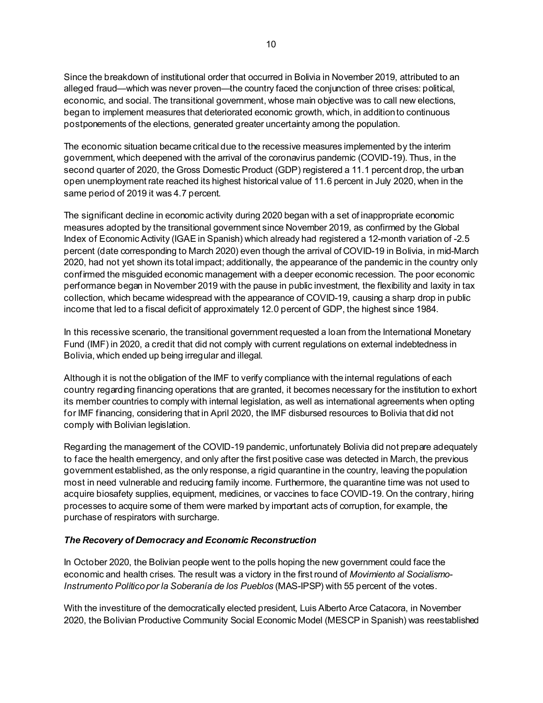Since the breakdown of institutional order that occurred in Bolivia in November 2019, attributed to an alleged fraud—which was never proven—the country faced the conjunction of three crises: political, economic, and social. The transitional government, whose main objective was to call new elections, began to implement measures that deteriorated economic growth, which, in addition to continuous postponements of the elections, generated greater uncertainty among the population.

The economic situation became critical due to the recessive measures implemented by the interim government, which deepened with the arrival of the coronavirus pandemic (COVID-19). Thus, in the second quarter of 2020, the Gross Domestic Product (GDP) registered a 11.1 percent drop, the urban open unemployment rate reached its highest historical value of 11.6 percent in July 2020, when in the same period of 2019 it was 4.7 percent.

The significant decline in economic activity during 2020 began with a set of inappropriate economic measures adopted by the transitional government since November 2019, as confirmed by the Global Index of Economic Activity (IGAE in Spanish) which already had registered a 12-month variation of -2.5 percent (date corresponding to March 2020) even though the arrival of COVID-19 in Bolivia, in mid-March 2020, had not yet shown its total impact; additionally, the appearance of the pandemic in the country only confirmed the misguided economic management with a deeper economic recession. The poor economic performance began in November 2019 with the pause in public investment, the flexibility and laxity in tax collection, which became widespread with the appearance of COVID-19, causing a sharp drop in public income that led to a fiscal deficit of approximately 12.0 percent of GDP, the highest since 1984.

In this recessive scenario, the transitional government requested a loan from the International Monetary Fund (IMF) in 2020, a credit that did not comply with current regulations on external indebtedness in Bolivia, which ended up being irregular and illegal.

Although it is not the obligation of the IMF to verify compliance with the internal regulations of each country regarding financing operations that are granted, it becomes necessary for the institution to exhort its member countries to comply with internal legislation, as well as international agreements when opting for IMF financing, considering that in April 2020, the IMF disbursed resources to Bolivia that did not comply with Bolivian legislation.

Regarding the management of the COVID-19 pandemic, unfortunately Bolivia did not prepare adequately to face the health emergency, and only after the first positive case was detected in March, the previous government established, as the only response, a rigid quarantine in the country, leaving the population most in need vulnerable and reducing family income. Furthermore, the quarantine time was not used to acquire biosafety supplies, equipment, medicines, or vaccines to face COVID-19. On the contrary, hiring processes to acquire some of them were marked by important acts of corruption, for example, the purchase of respirators with surcharge.

#### *The Recovery of Democracy and Economic Reconstruction*

In October 2020, the Bolivian people went to the polls hoping the new government could face the economic and health crises. The result was a victory in the first round of *Movimiento al Socialismo-Instrumento Político por la Soberanía de los Pueblos* (MAS-IPSP) with 55 percent of the votes.

With the investiture of the democratically elected president, Luis Alberto Arce Catacora, in November 2020, the Bolivian Productive Community Social Economic Model (MESCP in Spanish) was reestablished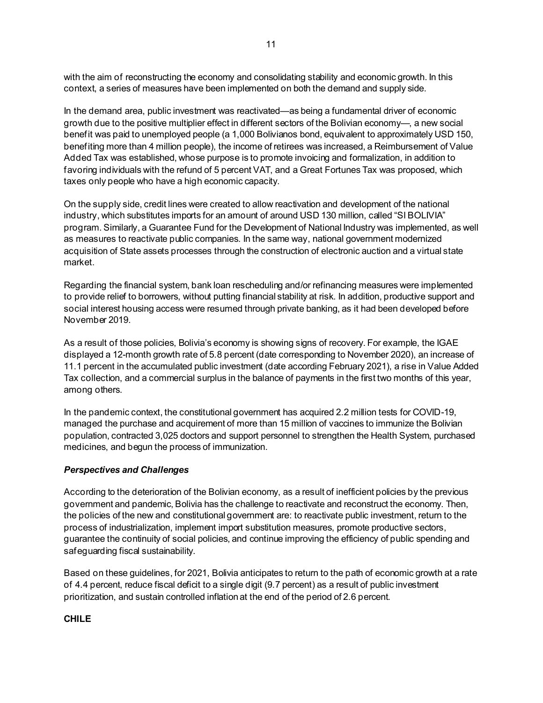with the aim of reconstructing the economy and consolidating stability and economic growth. In this context, a series of measures have been implemented on both the demand and supply side.

In the demand area, public investment was reactivated—as being a fundamental driver of economic growth due to the positive multiplier effect in different sectors of the Bolivian economy—, a new social benefit was paid to unemployed people (a 1,000 Bolivianos bond, equivalent to approximately USD 150, benefiting more than 4 million people), the income of retirees was increased, a Reimbursement of Value Added Tax was established, whose purpose is to promote invoicing and formalization, in addition to favoring individuals with the refund of 5 percent VAT, and a Great Fortunes Tax was proposed, which taxes only people who have a high economic capacity.

On the supply side, credit lines were created to allow reactivation and development of the national industry, which substitutes imports for an amount of around USD 130 million, called "SI BOLIVIA" program. Similarly, a Guarantee Fund for the Development of National Industry was implemented, as well as measures to reactivate public companies. In the same way, national government modernized acquisition of State assets processes through the construction of electronic auction and a virtual state market.

Regarding the financial system, bank loan rescheduling and/or refinancing measures were implemented to provide relief to borrowers, without putting financial stability at risk. In addition, productive support and social interest housing access were resumed through private banking, as it had been developed before November 2019.

As a result of those policies, Bolivia's economy is showing signs of recovery. For example, the IGAE displayed a 12-month growth rate of 5.8 percent (date corresponding to November 2020), an increase of 11.1 percent in the accumulated public investment (date according February 2021), a rise in Value Added Tax collection, and a commercial surplus in the balance of payments in the first two months of this year, among others.

In the pandemic context, the constitutional government has acquired 2.2 million tests for COVID-19, managed the purchase and acquirement of more than 15 million of vaccines to immunize the Bolivian population, contracted 3,025 doctors and support personnel to strengthen the Health System, purchased medicines, and begun the process of immunization.

#### *Perspectives and Challenges*

According to the deterioration of the Bolivian economy, as a result of inefficient policies by the previous government and pandemic, Bolivia has the challenge to reactivate and reconstruct the economy. Then, the policies of the new and constitutional government are: to reactivate public investment, return to the process of industrialization, implement import substitution measures, promote productive sectors, guarantee the continuity of social policies, and continue improving the efficiency of public spending and safeguarding fiscal sustainability.

Based on these guidelines, for 2021, Bolivia anticipates to return to the path of economic growth at a rate of 4.4 percent, reduce fiscal deficit to a single digit (9.7 percent) as a result of public investment prioritization, and sustain controlled inflation at the end of the period of 2.6 percent.

#### **CHILE**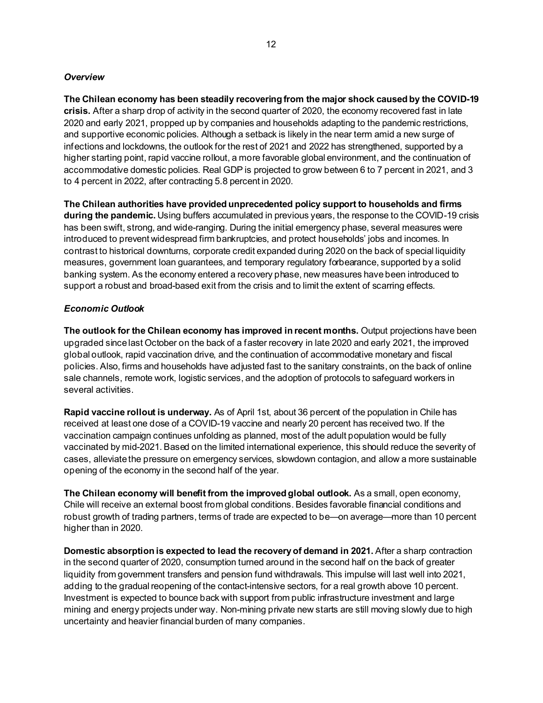#### *Overview*

**The Chilean economy has been steadily recovering from the major shock caused by the COVID-19 crisis.** After a sharp drop of activity in the second quarter of 2020, the economy recovered fast in late 2020 and early 2021, propped up by companies and households adapting to the pandemic restrictions, and supportive economic policies. Although a setback is likely in the near term amid a new surge of infections and lockdowns, the outlook for the rest of 2021 and 2022 has strengthened, supported by a higher starting point, rapid vaccine rollout, a more favorable global environment, and the continuation of accommodative domestic policies. Real GDP is projected to grow between 6 to 7 percent in 2021, and 3 to 4 percent in 2022, after contracting 5.8 percent in 2020.

**The Chilean authorities have provided unprecedented policy support to households and firms during the pandemic.** Using buffers accumulated in previous years, the response to the COVID-19 crisis has been swift, strong, and wide-ranging. During the initial emergency phase, several measures were introduced to prevent widespread firm bankruptcies, and protect households' jobs and incomes. In contrast to historical downturns, corporate credit expanded during 2020 on the back of special liquidity measures, government loan guarantees, and temporary regulatory forbearance, supported by a solid banking system. As the economy entered a recovery phase, new measures have been introduced to support a robust and broad-based exit from the crisis and to limit the extent of scarring effects.

#### *Economic Outlook*

**The outlook for the Chilean economy has improved in recent months.** Output projections have been upgraded since last October on the back of a faster recovery in late 2020 and early 2021, the improved global outlook, rapid vaccination drive, and the continuation of accommodative monetary and fiscal policies. Also, firms and households have adjusted fast to the sanitary constraints, on the back of online sale channels, remote work, logistic services, and the adoption of protocols to safeguard workers in several activities.

**Rapid vaccine rollout is underway.** As of April 1st, about 36 percent of the population in Chile has received at least one dose of a COVID-19 vaccine and nearly 20 percent has received two. If the vaccination campaign continues unfolding as planned, most of the adult population would be fully vaccinated by mid-2021. Based on the limited international experience, this should reduce the severity of cases, alleviate the pressure on emergency services, slowdown contagion, and allow a more sustainable opening of the economy in the second half of the year.

**The Chilean economy will benefit from the improved global outlook.** As a small, open economy, Chile will receive an external boost from global conditions. Besides favorable financial conditions and robust growth of trading partners, terms of trade are expected to be—on average—more than 10 percent higher than in 2020.

**Domestic absorption is expected to lead the recovery of demand in 2021.** After a sharp contraction in the second quarter of 2020, consumption turned around in the second half on the back of greater liquidity from government transfers and pension fund withdrawals. This impulse will last well into 2021, adding to the gradual reopening of the contact-intensive sectors, for a real growth above 10 percent. Investment is expected to bounce back with support from public infrastructure investment and large mining and energy projects under way. Non-mining private new starts are still moving slowly due to high uncertainty and heavier financial burden of many companies.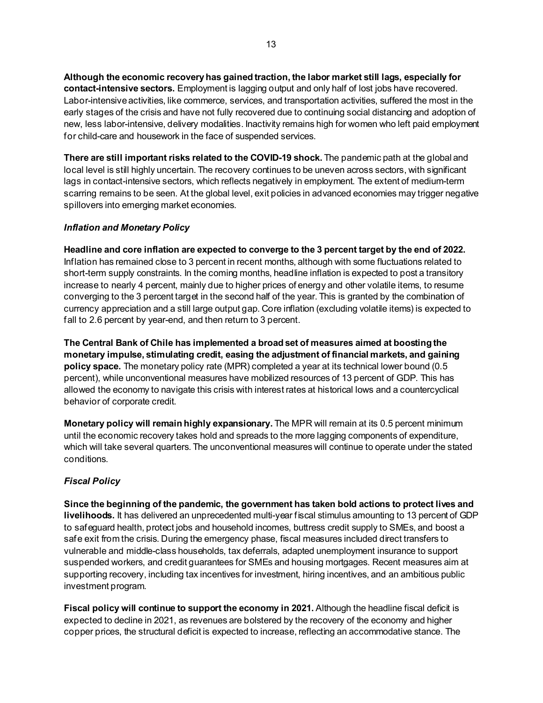**Although the economic recovery has gained traction, the labor market still lags, especially for contact-intensive sectors.** Employment is lagging output and only half of lost jobs have recovered. Labor-intensive activities, like commerce, services, and transportation activities, suffered the most in the early stages of the crisis and have not fully recovered due to continuing social distancing and adoption of new, less labor-intensive, delivery modalities. Inactivity remains high for women who left paid employment for child-care and housework in the face of suspended services.

**There are still important risks related to the COVID-19 shock.** The pandemic path at the global and local level is still highly uncertain. The recovery continues to be uneven across sectors, with significant lags in contact-intensive sectors, which reflects negatively in employment. The extent of medium-term scarring remains to be seen. At the global level, exit policies in advanced economies may trigger negative spillovers into emerging market economies.

# *Inflation and Monetary Policy*

**Headline and core inflation are expected to converge to the 3 percent target by the end of 2022.** Inflation has remained close to 3 percent in recent months, although with some fluctuations related to short-term supply constraints. In the coming months, headline inflation is expected to post a transitory increase to nearly 4 percent, mainly due to higher prices of energy and other volatile items, to resume converging to the 3 percent target in the second half of the year. This is granted by the combination of currency appreciation and a still large output gap. Core inflation (excluding volatile items) is expected to fall to 2.6 percent by year-end, and then return to 3 percent.

**The Central Bank of Chile has implemented a broad set of measures aimed at boosting the monetary impulse, stimulating credit, easing the adjustment of financial markets, and gaining policy space.** The monetary policy rate (MPR) completed a year at its technical lower bound (0.5 percent), while unconventional measures have mobilized resources of 13 percent of GDP. This has allowed the economy to navigate this crisis with interest rates at historical lows and a countercyclical behavior of corporate credit.

**Monetary policy will remain highly expansionary.** The MPR will remain at its 0.5 percent minimum until the economic recovery takes hold and spreads to the more lagging components of expenditure, which will take several quarters. The unconventional measures will continue to operate under the stated conditions.

# *Fiscal Policy*

**Since the beginning of the pandemic, the government has taken bold actions to protect lives and livelihoods.** It has delivered an unprecedented multi-year fiscal stimulus amounting to 13 percent of GDP to safeguard health, protect jobs and household incomes, buttress credit supply to SMEs, and boost a safe exit from the crisis. During the emergency phase, fiscal measures included direct transfers to vulnerable and middle-class households, tax deferrals, adapted unemployment insurance to support suspended workers, and credit guarantees for SMEs and housing mortgages. Recent measures aim at supporting recovery, including tax incentives for investment, hiring incentives, and an ambitious public investment program.

**Fiscal policy will continue to support the economy in 2021.** Although the headline fiscal deficit is expected to decline in 2021, as revenues are bolstered by the recovery of the economy and higher copper prices, the structural deficit is expected to increase, reflecting an accommodative stance. The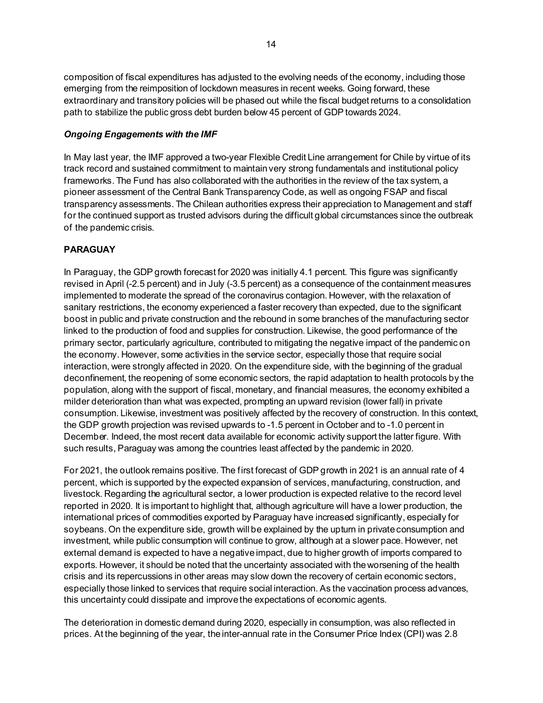composition of fiscal expenditures has adjusted to the evolving needs of the economy, including those emerging from the reimposition of lockdown measures in recent weeks. Going forward, these extraordinary and transitory policies will be phased out while the fiscal budget returns to a consolidation path to stabilize the public gross debt burden below 45 percent of GDP towards 2024.

#### *Ongoing Engagements with the IMF*

In May last year, the IMF approved a two-year Flexible Credit Line arrangement for Chile by virtue of its track record and sustained commitment to maintain very strong fundamentals and institutional policy frameworks. The Fund has also collaborated with the authorities in the review of the tax system, a pioneer assessment of the Central Bank Transparency Code, as well as ongoing FSAP and fiscal transparency assessments. The Chilean authorities express their appreciation to Management and staff for the continued support as trusted advisors during the difficult global circumstances since the outbreak of the pandemic crisis.

# **PARAGUAY**

In Paraguay, the GDP growth forecast for 2020 was initially 4.1 percent. This figure was significantly revised in April (-2.5 percent) and in July (-3.5 percent) as a consequence of the containment measures implemented to moderate the spread of the coronavirus contagion. However, with the relaxation of sanitary restrictions, the economy experienced a faster recovery than expected, due to the significant boost in public and private construction and the rebound in some branches of the manufacturing sector linked to the production of food and supplies for construction. Likewise, the good performance of the primary sector, particularly agriculture, contributed to mitigating the negative impact of the pandemic on the economy. However, some activities in the service sector, especially those that require social interaction, were strongly affected in 2020. On the expenditure side, with the beginning of the gradual deconfinement, the reopening of some economic sectors, the rapid adaptation to health protocols by the population, along with the support of fiscal, monetary, and financial measures, the economy exhibited a milder deterioration than what was expected, prompting an upward revision (lower fall) in private consumption. Likewise, investment was positively affected by the recovery of construction. In this context, the GDP growth projection was revised upwards to -1.5 percent in October and to -1.0 percent in December. Indeed, the most recent data available for economic activity support the latter figure. With such results, Paraguay was among the countries least affected by the pandemic in 2020.

For 2021, the outlook remains positive. The first forecast of GDP growth in 2021 is an annual rate of 4 percent, which is supported by the expected expansion of services, manufacturing, construction, and livestock. Regarding the agricultural sector, a lower production is expected relative to the record level reported in 2020. It is important to highlight that, although agriculture will have a lower production, the international prices of commodities exported by Paraguay have increased significantly, especially for soybeans. On the expenditure side, growth will be explained by the upturn in private consumption and investment, while public consumption will continue to grow, although at a slower pace. However, net external demand is expected to have a negative impact, due to higher growth of imports compared to exports. However, it should be noted that the uncertainty associated with the worsening of the health crisis and its repercussions in other areas may slow down the recovery of certain economic sectors, especially those linked to services that require social interaction. As the vaccination process advances, this uncertainty could dissipate and improve the expectations of economic agents.

The deterioration in domestic demand during 2020, especially in consumption, was also reflected in prices. At the beginning of the year, the inter-annual rate in the Consumer Price Index (CPI) was 2.8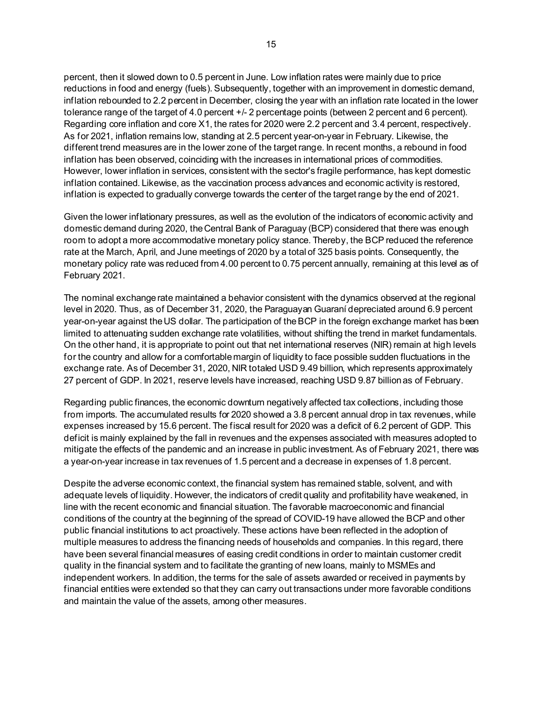percent, then it slowed down to 0.5 percent in June. Low inflation rates were mainly due to price reductions in food and energy (fuels). Subsequently, together with an improvement in domestic demand, inflation rebounded to 2.2 percent in December, closing the year with an inflation rate located in the lower tolerance range of the target of 4.0 percent +/- 2 percentage points (between 2 percent and 6 percent). Regarding core inflation and core X1, the rates for 2020 were 2.2 percent and 3.4 percent, respectively. As for 2021, inflation remains low, standing at 2.5 percent year-on-year in February. Likewise, the different trend measures are in the lower zone of the target range. In recent months, a rebound in food inflation has been observed, coinciding with the increases in international prices of commodities. However, lower inflation in services, consistent with the sector's fragile performance, has kept domestic inflation contained. Likewise, as the vaccination process advances and economic activity is restored, inflation is expected to gradually converge towards the center of the target range by the end of 2021.

Given the lower inflationary pressures, as well as the evolution of the indicators of economic activity and domestic demand during 2020, the Central Bank of Paraguay (BCP) considered that there was enough room to adopt a more accommodative monetary policy stance. Thereby, the BCP reduced the reference rate at the March, April, and June meetings of 2020 by a total of 325 basis points. Consequently, the monetary policy rate was reduced from 4.00 percent to 0.75 percent annually, remaining at this level as of February 2021.

The nominal exchange rate maintained a behavior consistent with the dynamics observed at the regional level in 2020. Thus, as of December 31, 2020, the Paraguayan Guaraní depreciated around 6.9 percent year-on-year against the US dollar. The participation of the BCP in the foreign exchange market has been limited to attenuating sudden exchange rate volatilities, without shifting the trend in market fundamentals. On the other hand, it is appropriate to point out that net international reserves (NIR) remain at high levels for the country and allow for a comfortable margin of liquidity to face possible sudden fluctuations in the exchange rate. As of December 31, 2020, NIR totaled USD 9.49 billion, which represents approximately 27 percent of GDP. In 2021, reserve levels have increased, reaching USD 9.87 billion as of February.

Regarding public finances, the economic downturn negatively affected tax collections, including those from imports. The accumulated results for 2020 showed a 3.8 percent annual drop in tax revenues, while expenses increased by 15.6 percent. The fiscal result for 2020 was a deficit of 6.2 percent of GDP. This deficit is mainly explained by the fall in revenues and the expenses associated with measures adopted to mitigate the effects of the pandemic and an increase in public investment. As of February 2021, there was a year-on-year increase in tax revenues of 1.5 percent and a decrease in expenses of 1.8 percent.

Despite the adverse economic context, the financial system has remained stable, solvent, and with adequate levels of liquidity. However, the indicators of credit quality and profitability have weakened, in line with the recent economic and financial situation. The favorable macroeconomic and financial conditions of the country at the beginning of the spread of COVID-19 have allowed the BCP and other public financial institutions to act proactively. These actions have been reflected in the adoption of multiple measures to address the financing needs of households and companies. In this regard, there have been several financial measures of easing credit conditions in order to maintain customer credit quality in the financial system and to facilitate the granting of new loans, mainly to MSMEs and independent workers. In addition, the terms for the sale of assets awarded or received in payments by financial entities were extended so that they can carry out transactions under more favorable conditions and maintain the value of the assets, among other measures.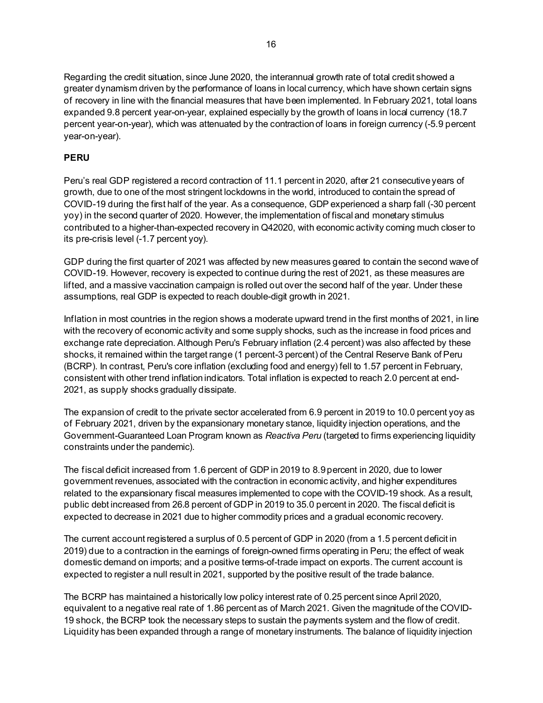Regarding the credit situation, since June 2020, the interannual growth rate of total credit showed a greater dynamism driven by the performance of loans in local currency, which have shown certain signs of recovery in line with the financial measures that have been implemented. In February 2021, total loans expanded 9.8 percent year-on-year, explained especially by the growth of loans in local currency (18.7 percent year-on-year), which was attenuated by the contraction of loans in foreign currency (-5.9 percent year-on-year).

# **PERU**

Peru's real GDP registered a record contraction of 11.1 percent in 2020, after 21 consecutive years of growth, due to one of the most stringent lockdowns in the world, introduced to contain the spread of COVID-19 during the first half of the year. As a consequence, GDP experienced a sharp fall (-30 percent yoy) in the second quarter of 2020. However, the implementation of fiscal and monetary stimulus contributed to a higher-than-expected recovery in Q42020, with economic activity coming much closer to its pre-crisis level (-1.7 percent yoy).

GDP during the first quarter of 2021 was affected by new measures geared to contain the second wave of COVID-19. However, recovery is expected to continue during the rest of 2021, as these measures are lifted, and a massive vaccination campaign is rolled out over the second half of the year. Under these assumptions, real GDP is expected to reach double-digit growth in 2021.

Inflation in most countries in the region shows a moderate upward trend in the first months of 2021, in line with the recovery of economic activity and some supply shocks, such as the increase in food prices and exchange rate depreciation. Although Peru's February inflation (2.4 percent) was also affected by these shocks, it remained within the target range (1 percent-3 percent) of the Central Reserve Bank of Peru (BCRP). In contrast, Peru's core inflation (excluding food and energy) fell to 1.57 percent in February, consistent with other trend inflation indicators. Total inflation is expected to reach 2.0 percent at end-2021, as supply shocks gradually dissipate.

The expansion of credit to the private sector accelerated from 6.9 percent in 2019 to 10.0 percent yoy as of February 2021, driven by the expansionary monetary stance, liquidity injection operations, and the Government-Guaranteed Loan Program known as *Reactiva Peru* (targeted to firms experiencing liquidity constraints under the pandemic).

The fiscal deficit increased from 1.6 percent of GDP in 2019 to 8.9 percent in 2020, due to lower government revenues, associated with the contraction in economic activity, and higher expenditures related to the expansionary fiscal measures implemented to cope with the COVID-19 shock. As a result, public debt increased from 26.8 percent of GDP in 2019 to 35.0 percent in 2020. The fiscal deficit is expected to decrease in 2021 due to higher commodity prices and a gradual economic recovery.

The current account registered a surplus of 0.5 percent of GDP in 2020 (from a 1.5 percent deficit in 2019) due to a contraction in the earnings of foreign-owned firms operating in Peru; the effect of weak domestic demand on imports; and a positive terms-of-trade impact on exports. The current account is expected to register a null result in 2021, supported by the positive result of the trade balance.

The BCRP has maintained a historically low policy interest rate of 0.25 percent since April 2020, equivalent to a negative real rate of 1.86 percent as of March 2021. Given the magnitude of the COVID-19 shock, the BCRP took the necessary steps to sustain the payments system and the flow of credit. Liquidity has been expanded through a range of monetary instruments. The balance of liquidity injection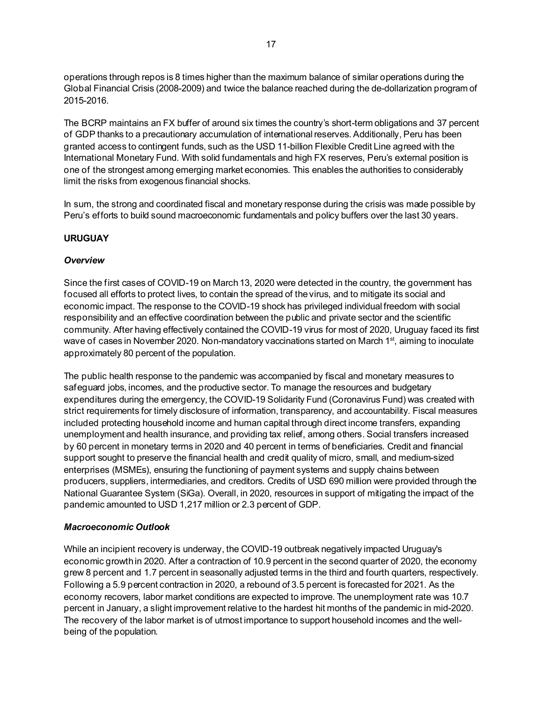operations through repos is 8 times higher than the maximum balance of similar operations during the Global Financial Crisis (2008-2009) and twice the balance reached during the de-dollarization program of 2015-2016.

The BCRP maintains an FX buffer of around six times the country's short-term obligations and 37 percent of GDP thanks to a precautionary accumulation of international reserves. Additionally, Peru has been granted access to contingent funds, such as the USD 11-billion Flexible Credit Line agreed with the International Monetary Fund. With solid fundamentals and high FX reserves, Peru's external position is one of the strongest among emerging market economies. This enables the authorities to considerably limit the risks from exogenous financial shocks.

In sum, the strong and coordinated fiscal and monetary response during the crisis was made possible by Peru's efforts to build sound macroeconomic fundamentals and policy buffers over the last 30 years.

#### **URUGUAY**

#### *Overview*

Since the first cases of COVID-19 on March 13, 2020 were detected in the country, the government has focused all efforts to protect lives, to contain the spread of the virus, and to mitigate its social and economic impact. The response to the COVID-19 shock has privileged individual freedom with social responsibility and an effective coordination between the public and private sector and the scientific community. After having effectively contained the COVID-19 virus for most of 2020, Uruguay faced its first wave of cases in November 2020. Non-mandatory vaccinations started on March 1<sup>st</sup>, aiming to inoculate approximately 80 percent of the population.

The public health response to the pandemic was accompanied by fiscal and monetary measures to safeguard jobs, incomes, and the productive sector. To manage the resources and budgetary expenditures during the emergency, the COVID-19 Solidarity Fund (Coronavirus Fund) was created with strict requirements for timely disclosure of information, transparency, and accountability. Fiscal measures included protecting household income and human capital through direct income transfers, expanding unemployment and health insurance, and providing tax relief, among others. Social transfers increased by 60 percent in monetary terms in 2020 and 40 percent in terms of beneficiaries. Credit and financial support sought to preserve the financial health and credit quality of micro, small, and medium-sized enterprises (MSMEs), ensuring the functioning of payment systems and supply chains between producers, suppliers, intermediaries, and creditors. Credits of USD 690 million were provided through the National Guarantee System (SiGa). Overall, in 2020, resources in support of mitigating the impact of the pandemic amounted to USD 1,217 million or 2.3 percent of GDP.

#### *Macroeconomic Outlook*

While an incipient recovery is underway, the COVID-19 outbreak negatively impacted Uruguay's economic growth in 2020. After a contraction of 10.9 percent in the second quarter of 2020, the economy grew 8 percent and 1.7 percent in seasonally adjusted terms in the third and fourth quarters, respectively. Following a 5.9 percent contraction in 2020, a rebound of 3.5 percent is forecasted for 2021. As the economy recovers, labor market conditions are expected to improve. The unemployment rate was 10.7 percent in January, a slight improvement relative to the hardest hit months of the pandemic in mid-2020. The recovery of the labor market is of utmost importance to support household incomes and the wellbeing of the population.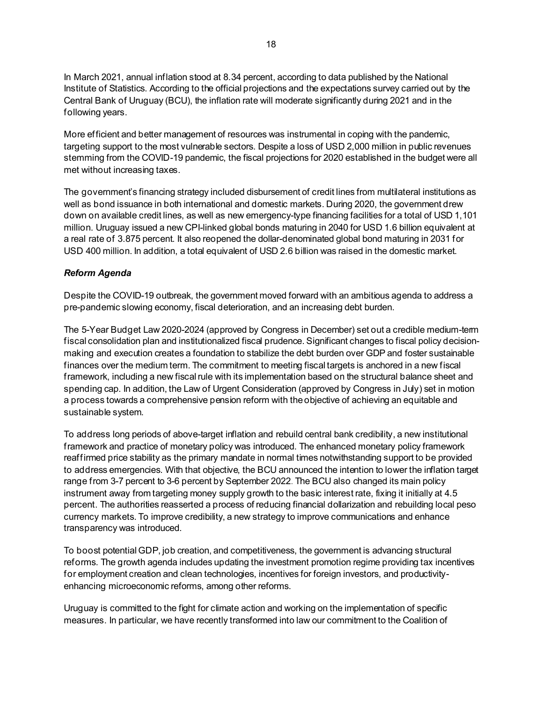In March 2021, annual inflation stood at 8.34 percent, according to data published by the National Institute of Statistics. According to the official projections and the expectations survey carried out by the Central Bank of Uruguay (BCU), the inflation rate will moderate significantly during 2021 and in the following years.

More efficient and better management of resources was instrumental in coping with the pandemic, targeting support to the most vulnerable sectors. Despite a loss of USD 2,000 million in public revenues stemming from the COVID-19 pandemic, the fiscal projections for 2020 established in the budget were all met without increasing taxes.

The government's financing strategy included disbursement of credit lines from multilateral institutions as well as bond issuance in both international and domestic markets. During 2020, the government drew down on available credit lines, as well as new emergency-type financing facilities for a total of USD 1,101 million. Uruguay issued a new CPI-linked global bonds maturing in 2040 for USD 1.6 billion equivalent at a real rate of 3.875 percent. It also reopened the dollar-denominated global bond maturing in 2031 for USD 400 million. In addition, a total equivalent of USD 2.6 billion was raised in the domestic market.

#### *Reform Agenda*

Despite the COVID-19 outbreak, the government moved forward with an ambitious agenda to address a pre-pandemic slowing economy, fiscal deterioration, and an increasing debt burden.

The 5-Year Budget Law 2020-2024 (approved by Congress in December) set out a credible medium-term fiscal consolidation plan and institutionalized fiscal prudence. Significant changes to fiscal policy decisionmaking and execution creates a foundation to stabilize the debt burden over GDP and foster sustainable finances over the medium term. The commitment to meeting fiscal targets is anchored in a new fiscal framework, including a new fiscal rule with its implementation based on the structural balance sheet and spending cap. In addition, the Law of Urgent Consideration (approved by Congress in July) set in motion a process towards a comprehensive pension reform with the objective of achieving an equitable and sustainable system.

To address long periods of above-target inflation and rebuild central bank credibility, a new institutional framework and practice of monetary policy was introduced. The enhanced monetary policy framework reaffirmed price stability as the primary mandate in normal times notwithstanding support to be provided to address emergencies. With that objective, the BCU announced the intention to lower the inflation target range from 3-7 percent to 3-6 percent by September 2022. The BCU also changed its main policy instrument away from targeting money supply growth to the basic interest rate, fixing it initially at 4.5 percent. The authorities reasserted a process of reducing financial dollarization and rebuilding local peso currency markets. To improve credibility, a new strategy to improve communications and enhance transparency was introduced.

To boost potential GDP, job creation, and competitiveness, the government is advancing structural reforms. The growth agenda includes updating the investment promotion regime providing tax incentives for employment creation and clean technologies, incentives for foreign investors, and productivityenhancing microeconomic reforms, among other reforms.

Uruguay is committed to the fight for climate action and working on the implementation of specific measures. In particular, we have recently transformed into law our commitment to the Coalition of